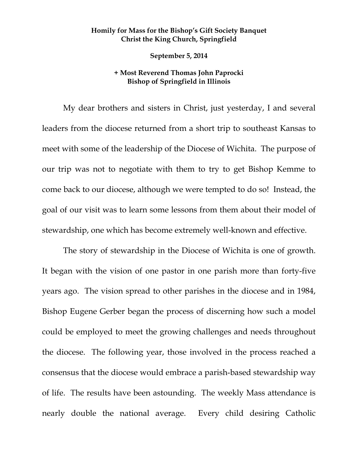## **Homily for Mass for the Bishop's Gift Society Banquet Christ the King Church, Springfield**

 **September 5, 2014** 

## **+ Most Reverend Thomas John Paprocki Bishop of Springfield in Illinois**

My dear brothers and sisters in Christ, just yesterday, I and several leaders from the diocese returned from a short trip to southeast Kansas to meet with some of the leadership of the Diocese of Wichita. The purpose of our trip was not to negotiate with them to try to get Bishop Kemme to come back to our diocese, although we were tempted to do so! Instead, the goal of our visit was to learn some lessons from them about their model of stewardship, one which has become extremely well-known and effective.

The story of stewardship in the Diocese of Wichita is one of growth. It began with the vision of one pastor in one parish more than forty-five years ago. The vision spread to other parishes in the diocese and in 1984, Bishop Eugene Gerber began the process of discerning how such a model could be employed to meet the growing challenges and needs throughout the diocese. The following year, those involved in the process reached a consensus that the diocese would embrace a parish-based stewardship way of life. The results have been astounding. The weekly Mass attendance is nearly double the national average. Every child desiring Catholic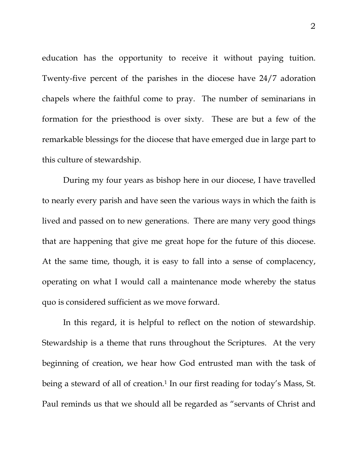education has the opportunity to receive it without paying tuition. Twenty-five percent of the parishes in the diocese have 24/7 adoration chapels where the faithful come to pray. The number of seminarians in formation for the priesthood is over sixty. These are but a few of the remarkable blessings for the diocese that have emerged due in large part to this culture of stewardship.

During my four years as bishop here in our diocese, I have travelled to nearly every parish and have seen the various ways in which the faith is lived and passed on to new generations. There are many very good things that are happening that give me great hope for the future of this diocese. At the same time, though, it is easy to fall into a sense of complacency, operating on what I would call a maintenance mode whereby the status quo is considered sufficient as we move forward.

In this regard, it is helpful to reflect on the notion of stewardship. Stewardship is a theme that runs throughout the Scriptures. At the very beginning of creation, we hear how God entrusted man with the task of being a steward of all of creation.<sup>1</sup> In our first reading for today's Mass, St. Paul reminds us that we should all be regarded as "servants of Christ and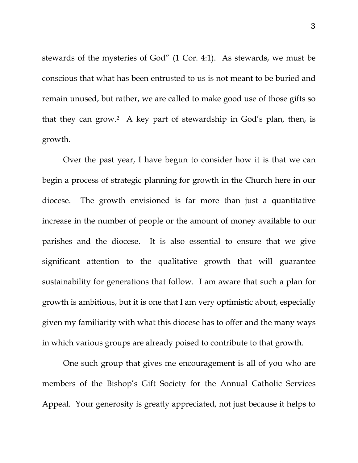stewards of the mysteries of God" (1 Cor. 4:1). As stewards, we must be conscious that what has been entrusted to us is not meant to be buried and remain unused, but rather, we are called to make good use of those gifts so that they can grow.2 A key part of stewardship in God's plan, then, is growth.

Over the past year, I have begun to consider how it is that we can begin a process of strategic planning for growth in the Church here in our diocese. The growth envisioned is far more than just a quantitative increase in the number of people or the amount of money available to our parishes and the diocese. It is also essential to ensure that we give significant attention to the qualitative growth that will guarantee sustainability for generations that follow. I am aware that such a plan for growth is ambitious, but it is one that I am very optimistic about, especially given my familiarity with what this diocese has to offer and the many ways in which various groups are already poised to contribute to that growth.

One such group that gives me encouragement is all of you who are members of the Bishop's Gift Society for the Annual Catholic Services Appeal. Your generosity is greatly appreciated, not just because it helps to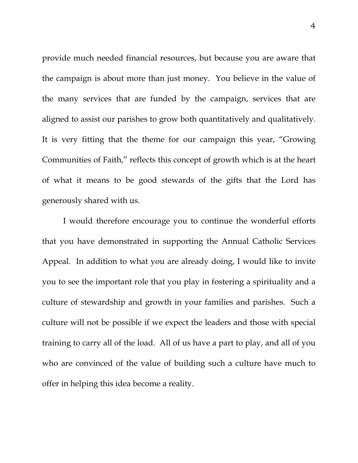provide much needed financial resources, but because you are aware that the campaign is about more than just money. You believe in the value of the many services that are funded by the campaign, services that are aligned to assist our parishes to grow both quantitatively and qualitatively. It is very fitting that the theme for our campaign this year, "Growing Communities of Faith," reflects this concept of growth which is at the heart of what it means to be good stewards of the gifts that the Lord has generously shared with us.

I would therefore encourage you to continue the wonderful efforts that you have demonstrated in supporting the Annual Catholic Services Appeal. In addition to what you are already doing, I would like to invite you to see the important role that you play in fostering a spirituality and a culture of stewardship and growth in your families and parishes. Such a culture will not be possible if we expect the leaders and those with special training to carry all of the load. All of us have a part to play, and all of you who are convinced of the value of building such a culture have much to offer in helping this idea become a reality.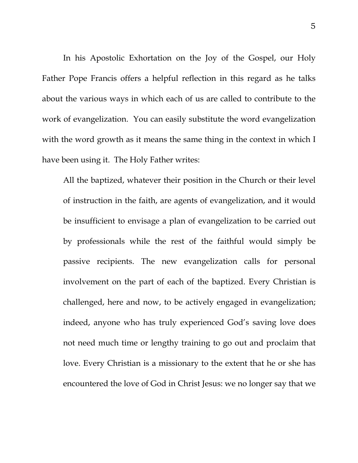In his Apostolic Exhortation on the Joy of the Gospel, our Holy Father Pope Francis offers a helpful reflection in this regard as he talks about the various ways in which each of us are called to contribute to the work of evangelization. You can easily substitute the word evangelization with the word growth as it means the same thing in the context in which I have been using it. The Holy Father writes:

All the baptized, whatever their position in the Church or their level of instruction in the faith, are agents of evangelization, and it would be insufficient to envisage a plan of evangelization to be carried out by professionals while the rest of the faithful would simply be passive recipients. The new evangelization calls for personal involvement on the part of each of the baptized. Every Christian is challenged, here and now, to be actively engaged in evangelization; indeed, anyone who has truly experienced God's saving love does not need much time or lengthy training to go out and proclaim that love. Every Christian is a missionary to the extent that he or she has encountered the love of God in Christ Jesus: we no longer say that we